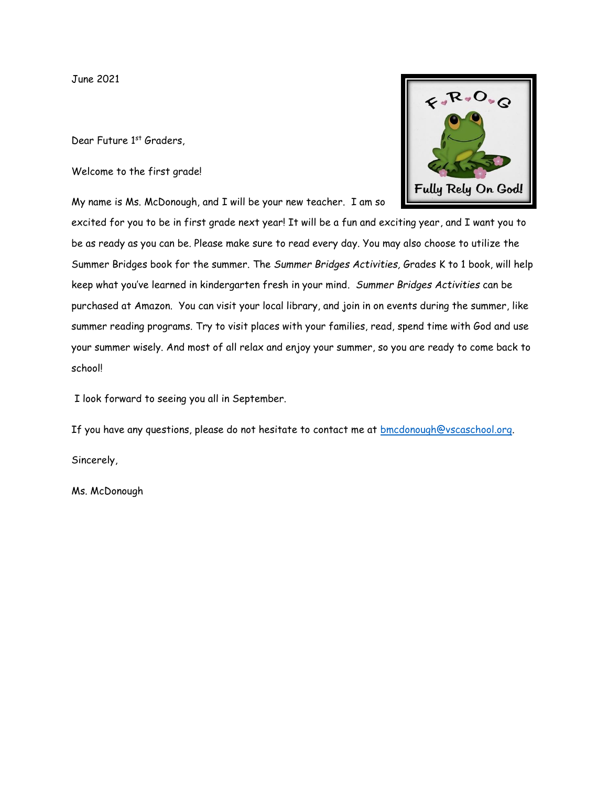June 2021

Dear Future 1st Graders,

Welcome to the first grade!

My name is Ms. McDonough, and I will be your new teacher. I am so



excited for you to be in first grade next year! It will be a fun and exciting year, and I want you to be as ready as you can be. Please make sure to read every day. You may also choose to utilize the Summer Bridges book for the summer. The *Summer Bridges Activities,* Grades K to 1 book, will help keep what you've learned in kindergarten fresh in your mind. *Summer Bridges Activities* can be purchased at Amazon. You can visit your local library, and join in on events during the summer, like summer reading programs. Try to visit places with your families, read, spend time with God and use your summer wisely. And most of all relax and enjoy your summer, so you are ready to come back to school!

I look forward to seeing you all in September.

If you have any questions, please do not hesitate to contact me at [bmcdonough@vscaschool.org.](mailto:bmcdonough@vscaschool.org)

Sincerely,

Ms. McDonough